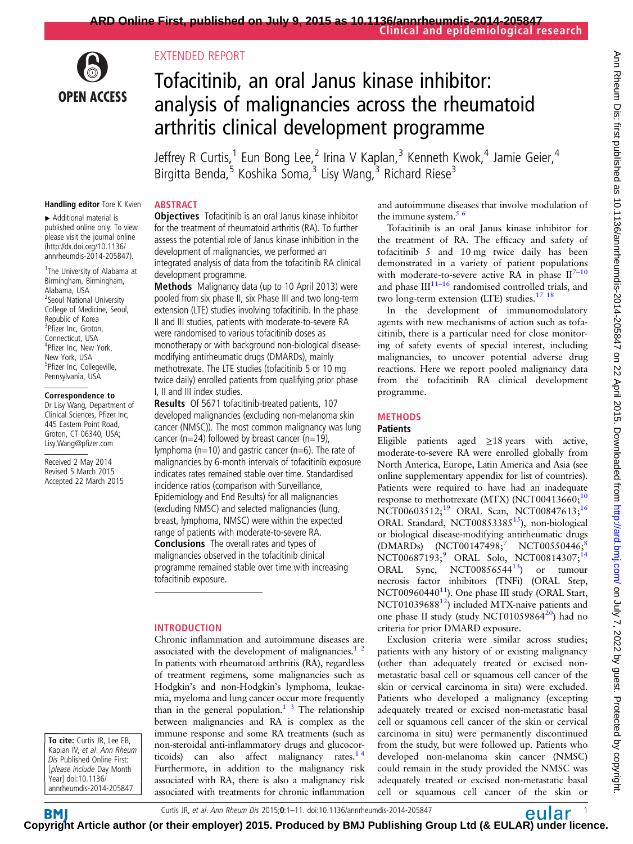

# EXTENDED REPORT

# Tofacitinib, an oral Janus kinase inhibitor: analysis of malignancies across the rheumatoid arthritis clinical development programme

Jeffrey R Curtis,<sup>1</sup> Eun Bong Lee,<sup>2</sup> Irina V Kaplan,<sup>3</sup> Kenneth Kwok,<sup>4</sup> Jamie Geier,<sup>4</sup> Birgitta Benda,<sup>5</sup> Koshika Soma,<sup>3</sup> Lisy Wang,<sup>3</sup> Richard Riese<sup>3</sup>

#### Handling editor Tore K Kvien

▸ Additional material is published online only. To view please visit the journal online [\(http://dx.doi.org/10.1136/](http://dx.doi.org/10.1136/annrheumdis-2014-205847) [annrheumdis-2014-205847\)](http://dx.doi.org/10.1136/annrheumdis-2014-205847).

<sup>1</sup>The University of Alabama at Birmingham, Birmingham, Alabama, USA <sup>2</sup> Seoul National University College of Medicine, Seoul, Republic of Korea <sup>3</sup>Pfizer Inc, Groton, Connecticut, USA 4 Pfizer Inc, New York, New York, USA 5 Pfizer Inc, Collegeville, Pennsylvania, USA

#### Correspondence to

Dr Lisy Wang, Department of Clinical Sciences, Pfizer Inc, 445 Eastern Point Road, Groton, CT 06340, USA; Lisy.Wang@pfizer.com

Received 2 May 2014 Revised 5 March 2015 Accepted 22 March 2015

To cite: Curtis JR, Lee EB, Kaplan IV, et al. Ann Rheum Dis Published Online First: [please include Day Month Year] doi:10.1136/ annrheumdis-2014-205847

# **ABSTRACT**

**Objectives** Tofacitinib is an oral Janus kinase inhibitor for the treatment of rheumatoid arthritis (RA). To further assess the potential role of Janus kinase inhibition in the development of malignancies, we performed an integrated analysis of data from the tofacitinib RA clinical development programme.

Methods Malignancy data (up to 10 April 2013) were pooled from six phase II, six Phase III and two long-term extension (LTE) studies involving tofacitinib. In the phase II and III studies, patients with moderate-to-severe RA were randomised to various tofacitinib doses as monotherapy or with background non-biological diseasemodifying antirheumatic drugs (DMARDs), mainly methotrexate. The LTE studies (tofacitinib 5 or 10 mg twice daily) enrolled patients from qualifying prior phase I, II and III index studies.

Results Of 5671 tofacitinib-treated patients, 107 developed malignancies (excluding non-melanoma skin cancer (NMSC)). The most common malignancy was lung cancer (n=24) followed by breast cancer (n=19), lymphoma ( $n=10$ ) and gastric cancer ( $n=6$ ). The rate of malignancies by 6-month intervals of tofacitinib exposure indicates rates remained stable over time. Standardised incidence ratios (comparison with Surveillance, Epidemiology and End Results) for all malignancies (excluding NMSC) and selected malignancies (lung, breast, lymphoma, NMSC) were within the expected range of patients with moderate-to-severe RA. Conclusions The overall rates and types of malignancies observed in the tofacitinib clinical programme remained stable over time with increasing tofacitinib exposure.

## INTRODUCTION

Chronic inflammation and autoimmune diseases are associated with the development of malignancies. $1<sup>2</sup>$ In patients with rheumatoid arthritis (RA), regardless of treatment regimens, some malignancies such as Hodgkin's and non-Hodgkin's lymphoma, leukaemia, myeloma and lung cancer occur more frequently than in the general population.<sup>1</sup>  $\frac{3}{7}$  The relationship between malignancies and RA is complex as the immune response and some RA treatments (such as non-steroidal anti-inflammatory drugs and glucocorticoids) can also affect malignancy rates.<sup>14</sup> Furthermore, in addition to the malignancy risk associated with RA, there is also a malignancy risk associated with treatments for chronic inflammation and autoimmune diseases that involve modulation of the immune system. $5/6$ 

Tofacitinib is an oral Janus kinase inhibitor for the treatment of RA. The efficacy and safety of tofacitinib 5 and 10 mg twice daily has been demonstrated in a variety of patient populations with moderate-to-severe active RA in phase  $II^{7-10}$  $II^{7-10}$  $II^{7-10}$ and phase  $III^{11-16}$  $III^{11-16}$  $III^{11-16}$  randomised controlled trials, and two long-term extension (LTE) studies.<sup>17</sup> <sup>18</sup>

In the development of immunomodulatory agents with new mechanisms of action such as tofacitinib, there is a particular need for close monitoring of safety events of special interest, including malignancies, to uncover potential adverse drug reactions. Here we report pooled malignancy data from the tofacitinib RA clinical development programme.

## **METHODS**

# **Patients**

Eligible patients aged  $\geq$ 18 years with active, moderate-to-severe RA were enrolled globally from North America, Europe, Latin America and Asia (see online supplementary appendix for list of countries). Patients were required to have had an inadequate response to methotrexate (MTX) (NCT00413660;<sup>10</sup> NCT00603512;<sup>[19](#page-9-0)</sup> ORAL Scan, NCT00847613;<sup>16</sup> ORAL Standard, NCT00853385<sup>15</sup>), non-biological or biological disease-modifying antirheumatic drugs (DMARDs) (NCT0014[7](#page-9-0)49[8](#page-9-0);<sup>7</sup> NCT00550446;<sup>8</sup> NCT006871[9](#page-9-0)3;<sup>9</sup> ORAL Solo, NCT00814307;<sup>14</sup> ORAL Sync, NCT00856544 $13$  or tumour necrosis factor inhibitors (TNFi) (ORAL Step, NCT00960440 $<sup>11</sup>$  $<sup>11</sup>$  $<sup>11</sup>$ ). One phase III study (ORAL Start,</sup> NCT01039688<sup>[12](#page-9-0)</sup>) included MTX-naive patients and one phase II study (study NCT01059864<sup>20</sup>) had no criteria for prior DMARD exposure.

Exclusion criteria were similar across studies; patients with any history of or existing malignancy (other than adequately treated or excised nonmetastatic basal cell or squamous cell cancer of the skin or cervical carcinoma in situ) were excluded. Patients who developed a malignancy (excepting adequately treated or excised non-metastatic basal cell or squamous cell cancer of the skin or cervical carcinoma in situ) were permanently discontinued from the study, but were followed up. Patients who developed non-melanoma skin cancer (NMSC) could remain in the study provided the NMSC was adequately treated or excised non-metastatic basal cell or squamous cell cancer of the skin or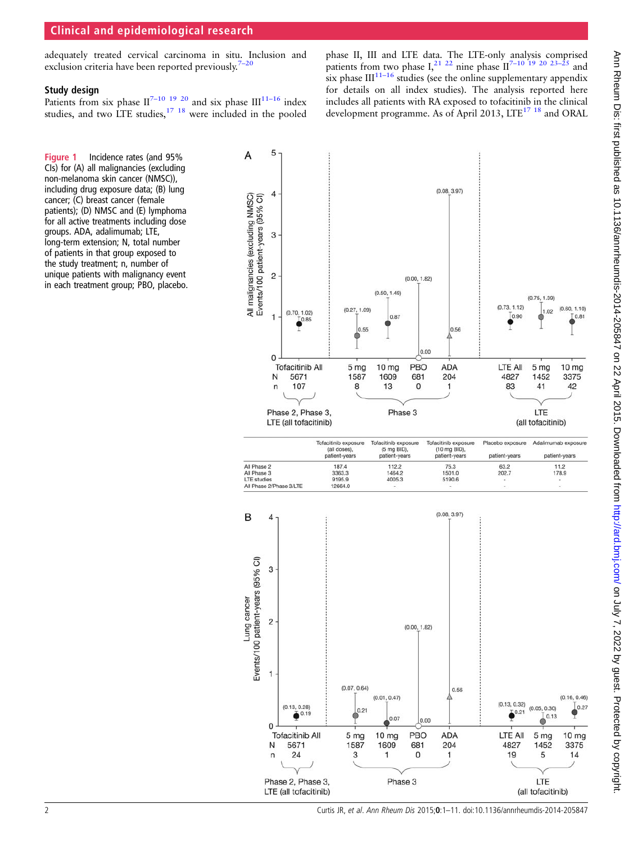# <span id="page-1-0"></span>Clinical and epidemiological research

adequately treated cervical carcinoma in situ. Inclusion and exclusion criteria have been reported previously.<sup>7</sup>

#### Study design

Patients from six phase  $II^{7-10}$  <sup>19</sup> <sup>20</sup> and six phase  $III^{11-16}$  $III^{11-16}$  $III^{11-16}$  index studies, and two LTE studies,  $17 \tcdot 18$  were included in the pooled

phase II, III and LTE data. The LTE-only analysis comprised patients from two phase I,<sup>[21 22](#page-9-0)</sup> nine phase II<sup>7–[10 19 20 23](#page-9-0)–25</sup> and six phase  $III^{11-16}$  $III^{11-16}$  $III^{11-16}$  studies (see the online supplementary appendix for details on all index studies). The analysis reported here includes all patients with RA exposed to tofacitinib in the clinical development programme. As of April 2013, LTE<sup>17 18</sup> and ORAL

Figure 1 Incidence rates (and 95% CIs) for (A) all malignancies (excluding non-melanoma skin cancer (NMSC)), including drug exposure data; (B) lung cancer; (C) breast cancer (female patients); (D) NMSC and (E) lymphoma for all active treatments including dose groups. ADA, adalimumab; LTE, long-term extension; N, total number of patients in that group exposed to the study treatment; n, number of unique patients with malignancy event in each treatment group; PBO, placebo.



2 Curtis JR, et al. Ann Rheum Dis 2015;0:1–11. doi:10.1136/annrheumdis-2014-205847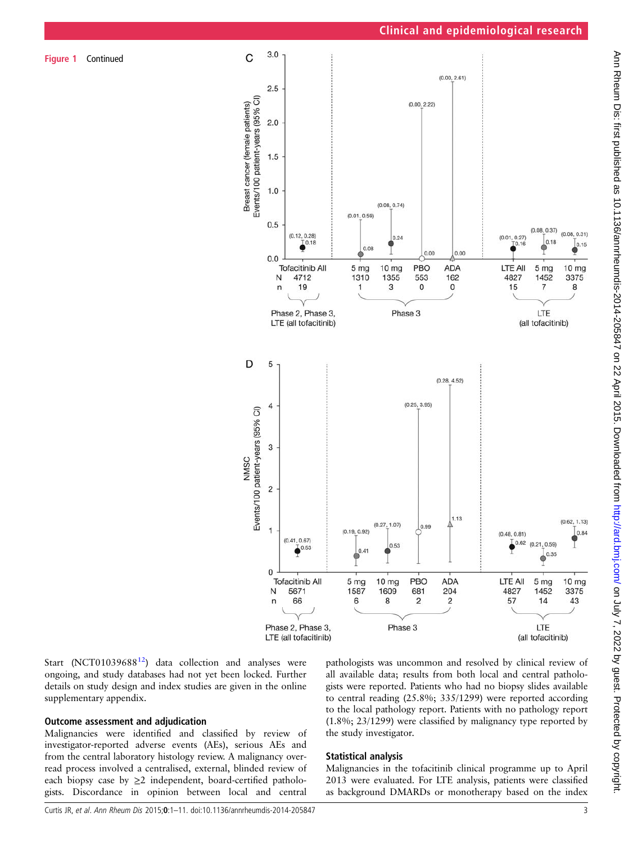Figure 1 Continued



Start (NCT01039688<sup>12</sup>) data collection and analyses were ongoing, and study databases had not yet been locked. Further details on study design and index studies are given in the online supplementary appendix.

## Outcome assessment and adjudication

Malignancies were identified and classified by review of investigator-reported adverse events (AEs), serious AEs and from the central laboratory histology review. A malignancy overread process involved a centralised, external, blinded review of each biopsy case by  $\geq 2$  independent, board-certified pathologists. Discordance in opinion between local and central

pathologists was uncommon and resolved by clinical review of all available data; results from both local and central pathologists were reported. Patients who had no biopsy slides available to central reading (25.8%; 335/1299) were reported according to the local pathology report. Patients with no pathology report (1.8%; 23/1299) were classified by malignancy type reported by the study investigator.

## Statistical analysis

Malignancies in the tofacitinib clinical programme up to April 2013 were evaluated. For LTE analysis, patients were classified as background DMARDs or monotherapy based on the index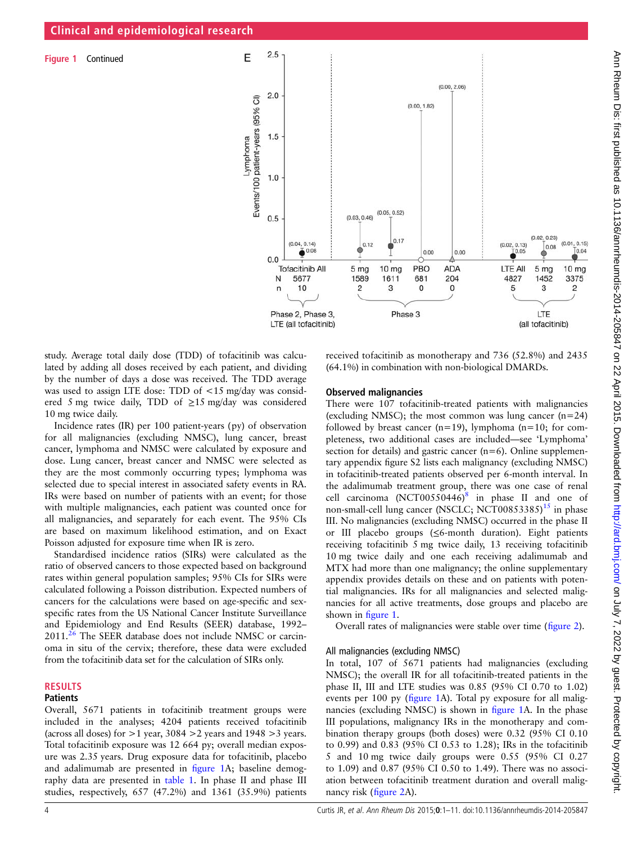Figure 1 Continued



study. Average total daily dose (TDD) of tofacitinib was calculated by adding all doses received by each patient, and dividing by the number of days a dose was received. The TDD average was used to assign LTE dose: TDD of <15 mg/day was considered 5 mg twice daily, TDD of  $\geq$ 15 mg/day was considered 10 mg twice daily.

Incidence rates (IR) per 100 patient-years (py) of observation for all malignancies (excluding NMSC), lung cancer, breast cancer, lymphoma and NMSC were calculated by exposure and dose. Lung cancer, breast cancer and NMSC were selected as they are the most commonly occurring types; lymphoma was selected due to special interest in associated safety events in RA. IRs were based on number of patients with an event; for those with multiple malignancies, each patient was counted once for all malignancies, and separately for each event. The 95% CIs are based on maximum likelihood estimation, and on Exact Poisson adjusted for exposure time when IR is zero.

Standardised incidence ratios (SIRs) were calculated as the ratio of observed cancers to those expected based on background rates within general population samples; 95% CIs for SIRs were calculated following a Poisson distribution. Expected numbers of cancers for the calculations were based on age-specific and sexspecific rates from the US National Cancer Institute Surveillance and Epidemiology and End Results (SEER) database, 1992– 2011.<sup>26</sup> The SEER database does not include NMSC or carcinoma in situ of the cervix; therefore, these data were excluded from the tofacitinib data set for the calculation of SIRs only.

# RESULTS

# **Patients**

Overall, 5671 patients in tofacitinib treatment groups were included in the analyses; 4204 patients received tofacitinib (across all doses) for  $>1$  year, 3084  $>2$  years and 1948  $>3$  years. Total tofacitinib exposure was 12 664 py; overall median exposure was 2.35 years. Drug exposure data for tofacitinib, placebo and adalimumab are presented in fi[gure 1A](#page-1-0); baseline demography data are presented in [table 1](#page-4-0). In phase II and phase III studies, respectively, 657 (47.2%) and 1361 (35.9%) patients

received tofacitinib as monotherapy and 736 (52.8%) and 2435 (64.1%) in combination with non-biological DMARDs.

## Observed malignancies

There were 107 tofacitinib-treated patients with malignancies (excluding NMSC); the most common was lung cancer  $(n=24)$ followed by breast cancer (n=19), lymphoma (n=10; for completeness, two additional cases are included—see 'Lymphoma' section for details) and gastric cancer  $(n=6)$ . Online supplementary appendix figure S2 lists each malignancy (excluding NMSC) in tofacitinib-treated patients observed per 6-month interval. In the adalimumab treatment group, there was one case of renal cell carcinoma  $(NCT00550446)^8$  $(NCT00550446)^8$  in phase II and one of non-small-cell lung cancer (NSCLC; NCT00853385) $^{15}$  $^{15}$  $^{15}$  in phase III. No malignancies (excluding NMSC) occurred in the phase II or III placebo groups (≤6-month duration). Eight patients receiving tofacitinib 5 mg twice daily, 13 receiving tofacitinib 10 mg twice daily and one each receiving adalimumab and MTX had more than one malignancy; the online supplementary appendix provides details on these and on patients with potential malignancies. IRs for all malignancies and selected malignancies for all active treatments, dose groups and placebo are shown in fi[gure 1](#page-1-0).

Overall rates of malignancies were stable over time (fi[gure 2\)](#page-5-0).

#### All malignancies (excluding NMSC)

In total, 107 of 5671 patients had malignancies (excluding NMSC); the overall IR for all tofacitinib-treated patients in the phase II, III and LTE studies was 0.85 (95% CI 0.70 to 1.02) events per 100 py (fi[gure 1A](#page-1-0)). Total py exposure for all malignancies (excluding NMSC) is shown in fi[gure 1A](#page-1-0). In the phase III populations, malignancy IRs in the monotherapy and combination therapy groups (both doses) were 0.32 (95% CI 0.10 to 0.99) and 0.83 (95% CI 0.53 to 1.28); IRs in the tofacitinib 5 and 10 mg twice daily groups were 0.55 (95% CI 0.27 to 1.09) and 0.87 (95% CI 0.50 to 1.49). There was no association between tofacitinib treatment duration and overall malignancy risk (fi[gure 2](#page-5-0)A).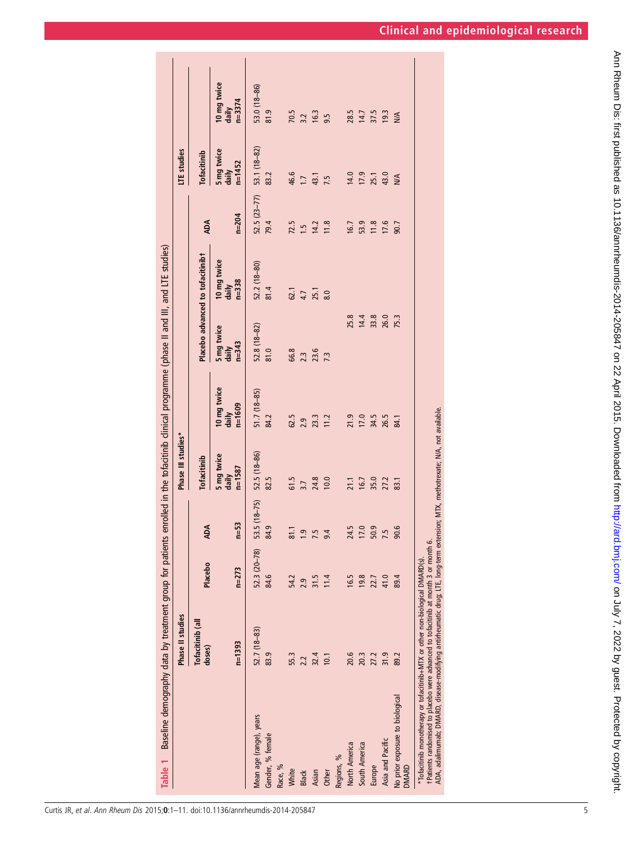<span id="page-4-0"></span>

| doses)                                                  |                  |              |                      | Phase III studies*                |                                    |                                  |                                   |               | LTE studies                       |                                    |
|---------------------------------------------------------|------------------|--------------|----------------------|-----------------------------------|------------------------------------|----------------------------------|-----------------------------------|---------------|-----------------------------------|------------------------------------|
|                                                         | Tofacitinib (all | Placebo      | <b>ADA</b>           | <b>Tofacitinib</b>                |                                    |                                  | Placebo advanced to tofacitinibt  | ADA           | <b>Tofacitinib</b>                |                                    |
| $n = 1393$                                              |                  | $n = 273$    | $n=53$               | 5 mg twice<br>daily<br>$n = 1587$ | 10 mg twice<br>$n = 1609$<br>daily | 5 mg twice<br>daily<br>$n = 343$ | 10 mg twice<br>$n = 338$<br>daily | $n = 204$     | 5 mg twice<br>$n = 1452$<br>daily | 10 mg twice<br>$n = 3374$<br>daily |
| Mean age (range), years                                 | $52.7(18-83)$    | 52.3 (20-78) | 53.5 (18-75)         | 52.5 (18-86)                      | $51.7(18-85)$                      | $52.8(18-82)$                    | $52.2(18-80)$                     | $52.5(23-77)$ | 53.1 (18-82)                      | 53.0 (18-86)                       |
| 83.9<br>Gender, % female                                |                  | 84.6         | ō,<br>$\mathfrak{A}$ | 82.5                              | 84.2                               | 81.0                             | 81.4                              | 79.4          | 83.2                              | 81.9                               |
| Race, %                                                 |                  |              |                      |                                   |                                    |                                  |                                   |               |                                   |                                    |
| 55.3<br>White                                           |                  | 54.2         |                      | 61.5                              | 62.5                               | 66.8                             | 62.1                              | 72.5          | 46.6                              | 70.5                               |
| 2.2<br><b>Black</b>                                     |                  | 2.9          | $\frac{6}{1.9}$      | 3.7                               | 2.9                                | 2.3                              | 4.7                               | 1.5           | $\overline{11}$                   |                                    |
| 32.4<br>Asian                                           |                  | 31.5         | 7.5                  | 24.8                              | 23.3                               | 23.6                             | 25.1                              | 14.2          | 43.1                              | $3.2$ $16.3$                       |
| 10.1<br><b>Other</b>                                    |                  | 11.4         | 9.4                  | 10.0                              | 11.2                               | 7.3                              | 8.0                               | 11.8          | 7.5                               |                                    |
| Regions, %                                              |                  |              |                      |                                   |                                    |                                  |                                   |               |                                   |                                    |
| 20.6<br>North America                                   |                  | 16.5         | ŗ.<br>$\overline{z}$ |                                   | 21.9                               | 25.8                             |                                   | 16.7          | 14.0                              |                                    |
| 20.3<br>South America                                   |                  | 19.8         | 17.0                 | 21.1<br>16.7                      | 17.0                               | 14.4                             |                                   | 53.9          |                                   | 28.5<br>14.7                       |
| 27.2<br>Europe                                          |                  | 22.7         | 50.9                 | 35.0                              | 34.5                               | 33.8                             |                                   | 11.8          | 17.9                              | 37.5                               |
| 31.9<br>Asia and Pacific                                |                  | 41.0         | 7.5                  | 27.2                              | 26.5                               | 26.0<br>75.3                     |                                   | 17.6          | 43.0                              | 19.3                               |
| 89.2<br>No prior exposure to biological<br><b>DMARD</b> |                  | 89.4         | 90.6                 | 83.1                              | 84.1                               |                                  |                                   | 90.7          | N/A                               | N/A                                |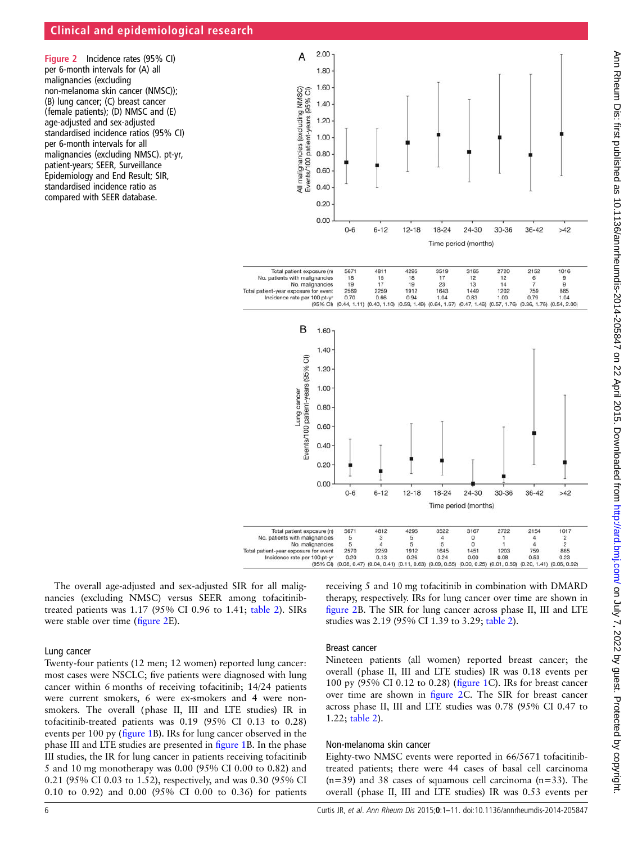# <span id="page-5-0"></span>Clinical and epidemiological research

Figure 2 Incidence rates (95% CI) per 6-month intervals for (A) all malignancies (excluding non-melanoma skin cancer (NMSC)); (B) lung cancer; (C) breast cancer (female patients); (D) NMSC and (E) age-adjusted and sex-adjusted standardised incidence ratios (95% CI) per 6-month intervals for all malignancies (excluding NMSC). pt-yr, patient-years; SEER, Surveillance Epidemiology and End Result; SIR, standardised incidence ratio as compared with SEER database.



The overall age-adjusted and sex-adjusted SIR for all malignancies (excluding NMSC) versus SEER among tofacitinibtreated patients was 1.17 (95% CI 0.96 to 1.41; [table 2\)](#page-7-0). SIRs were stable over time (figure 2E).

Lung cancer

Twenty-four patients (12 men; 12 women) reported lung cancer: most cases were NSCLC; five patients were diagnosed with lung cancer within 6 months of receiving tofacitinib; 14/24 patients were current smokers, 6 were ex-smokers and 4 were nonsmokers. The overall (phase II, III and LTE studies) IR in tofacitinib-treated patients was 0.19 (95% CI 0.13 to 0.28) events per 100 py (fi[gure 1B](#page-1-0)). IRs for lung cancer observed in the phase III and LTE studies are presented in fi[gure 1B](#page-1-0). In the phase III studies, the IR for lung cancer in patients receiving tofacitinib 5 and 10 mg monotherapy was 0.00 (95% CI 0.00 to 0.82) and 0.21 (95% CI 0.03 to 1.52), respectively, and was 0.30 (95% CI 0.10 to 0.92) and 0.00 (95% CI 0.00 to 0.36) for patients

receiving 5 and 10 mg tofacitinib in combination with DMARD therapy, respectively. IRs for lung cancer over time are shown in figure 2B. The SIR for lung cancer across phase II, III and LTE studies was 2.19 (95% CI 1.39 to 3.29; [table 2\)](#page-7-0).

## Breast cancer

Nineteen patients (all women) reported breast cancer; the overall (phase II, III and LTE studies) IR was 0.18 events per 100 py (95% CI 0.12 to 0.28) (fi[gure 1](#page-1-0)C). IRs for breast cancer over time are shown in figure 2C. The SIR for breast cancer across phase II, III and LTE studies was 0.78 (95% CI 0.47 to 1.22; [table 2\)](#page-7-0).

## Non-melanoma skin cancer

Eighty-two NMSC events were reported in 66/5671 tofacitinibtreated patients; there were 44 cases of basal cell carcinoma  $(n=39)$  and 38 cases of squamous cell carcinoma  $(n=33)$ . The overall (phase II, III and LTE studies) IR was 0.53 events per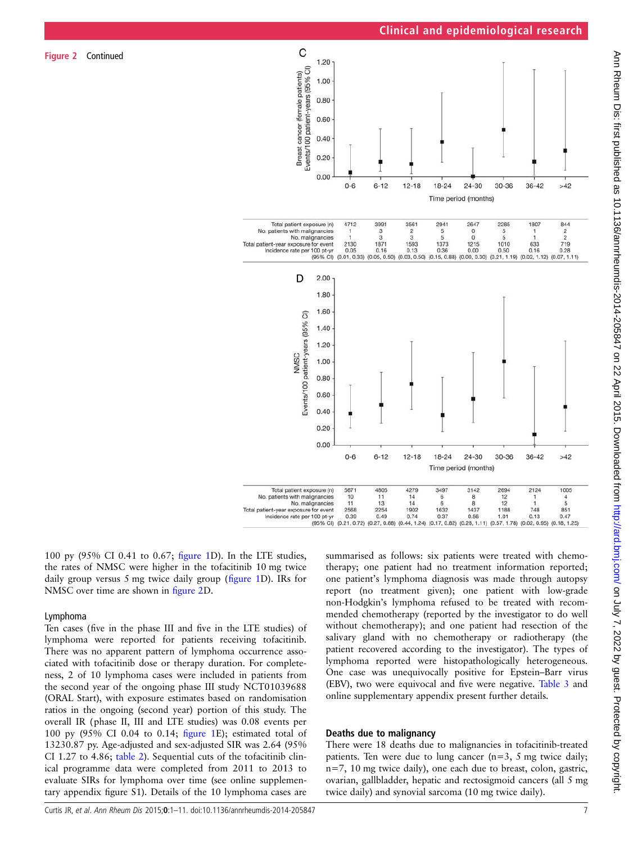

100 py (95% CI 0.41 to 0.67; fi[gure 1](#page-1-0)D). In the LTE studies, the rates of NMSC were higher in the tofacitinib 10 mg twice daily group versus 5 mg twice daily group (fi[gure 1](#page-1-0)D). IRs for NMSC over time are shown in fi[gure 2](#page-5-0)D.

## Lymphoma

Figure 2 Continued

Ten cases (five in the phase III and five in the LTE studies) of lymphoma were reported for patients receiving tofacitinib. There was no apparent pattern of lymphoma occurrence associated with tofacitinib dose or therapy duration. For completeness, 2 of 10 lymphoma cases were included in patients from the second year of the ongoing phase III study NCT01039688 (ORAL Start), with exposure estimates based on randomisation ratios in the ongoing (second year) portion of this study. The overall IR (phase II, III and LTE studies) was 0.08 events per 100 py (95% CI 0.04 to 0.14; fi[gure 1](#page-1-0)E); estimated total of 13230.87 py. Age-adjusted and sex-adjusted SIR was 2.64 (95% CI 1.27 to 4.86; [table 2](#page-7-0)). Sequential cuts of the tofacitinib clinical programme data were completed from 2011 to 2013 to evaluate SIRs for lymphoma over time (see online supplementary appendix figure S1). Details of the 10 lymphoma cases are

summarised as follows: six patients were treated with chemotherapy; one patient had no treatment information reported; one patient's lymphoma diagnosis was made through autopsy report (no treatment given); one patient with low-grade non-Hodgkin's lymphoma refused to be treated with recommended chemotherapy (reported by the investigator to do well without chemotherapy); and one patient had resection of the salivary gland with no chemotherapy or radiotherapy (the patient recovered according to the investigator). The types of lymphoma reported were histopathologically heterogeneous. One case was unequivocally positive for Epstein–Barr virus (EBV), two were equivocal and five were negative. [Table 3](#page-8-0) and online supplementary appendix present further details.

## Deaths due to malignancy

There were 18 deaths due to malignancies in tofacitinib-treated patients. Ten were due to lung cancer (n=3, 5 mg twice daily; n=7, 10 mg twice daily), one each due to breast, colon, gastric, ovarian, gallbladder, hepatic and rectosigmoid cancers (all 5 mg twice daily) and synovial sarcoma (10 mg twice daily).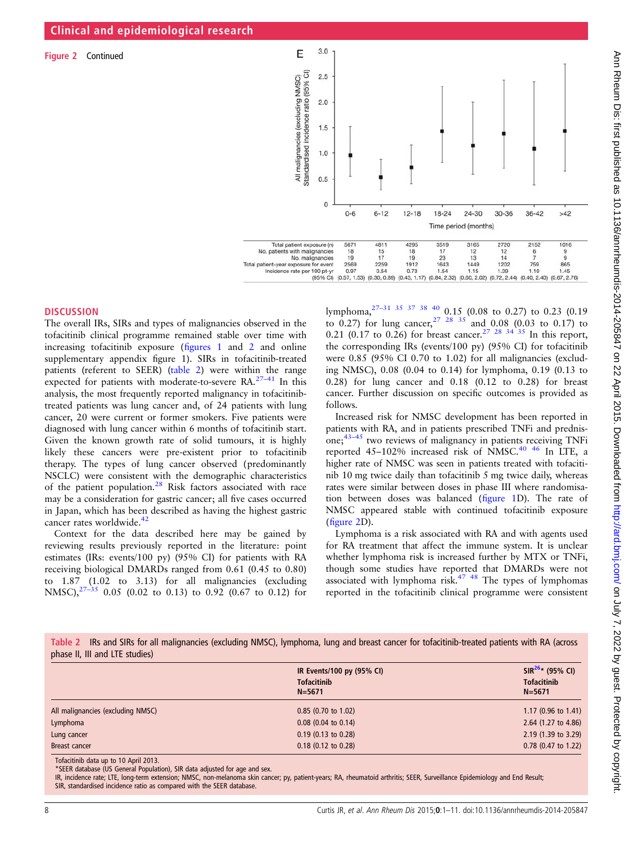<span id="page-7-0"></span>Figure 2 Continued



# **DISCUSSION**

The overall IRs, SIRs and types of malignancies observed in the tofacitinib clinical programme remained stable over time with increasing tofacitinib exposure (fi[gures 1](#page-1-0) and [2](#page-5-0) and online supplementary appendix figure 1). SIRs in tofacitinib-treated patients (referent to SEER) (table 2) were within the range expected for patients with moderate-to-severe RA.27–[41](#page-9-0) In this analysis, the most frequently reported malignancy in tofacitinibtreated patients was lung cancer and, of 24 patients with lung cancer, 20 were current or former smokers. Five patients were diagnosed with lung cancer within 6 months of tofacitinib start. Given the known growth rate of solid tumours, it is highly likely these cancers were pre-existent prior to tofacitinib therapy. The types of lung cancer observed (predominantly NSCLC) were consistent with the demographic characteristics of the patient population.<sup>[28](#page-9-0)</sup> Risk factors associated with race may be a consideration for gastric cancer; all five cases occurred in Japan, which has been described as having the highest gastric cancer rates worldwide.<sup>[42](#page-10-0)</sup>

Context for the data described here may be gained by reviewing results previously reported in the literature: point estimates (IRs: events/100 py) (95% CI) for patients with RA receiving biological DMARDs ranged from 0.61 (0.45 to 0.80) to 1.87 (1.02 to 3.13) for all malignancies (excluding NMSC), $2^{7-35}$  0.05 (0.02 to 0.13) to 0.92 (0.67 to 0.12) for

lymphoma,27–[31](#page-9-0) [35 37 38 40](#page-10-0) 0.15 (0.08 to 0.27) to 0.23 (0.19 to 0.27) for lung cancer,  $27 \frac{28}{35}$  and 0.08 (0.03 to 0.17) to 0.21 (0.17 to 0.26) for breast cancer.<sup>27</sup> <sup>28</sup> <sup>34</sup> <sup>35</sup> In this report, the corresponding IRs (events/100 py) (95% CI) for tofacitinib were 0.85 (95% CI 0.70 to 1.02) for all malignancies (excluding NMSC), 0.08 (0.04 to 0.14) for lymphoma, 0.19 (0.13 to 0.28) for lung cancer and 0.18 (0.12 to 0.28) for breast cancer. Further discussion on specific outcomes is provided as follows.

Increased risk for NMSC development has been reported in patients with RA, and in patients prescribed TNFi and prednisone; $43-45$  $43-45$  two reviews of malignancy in patients receiving TNFi reported  $45-102\%$  increased risk of NMSC.<sup>[40 46](#page-10-0)</sup> In LTE, a higher rate of NMSC was seen in patients treated with tofacitinib 10 mg twice daily than tofacitinib 5 mg twice daily, whereas rates were similar between doses in phase III where randomisation between doses was balanced (fi[gure 1](#page-1-0)D). The rate of NMSC appeared stable with continued tofacitinib exposure (fi[gure 2](#page-5-0)D).

Lymphoma is a risk associated with RA and with agents used for RA treatment that affect the immune system. It is unclear whether lymphoma risk is increased further by MTX or TNFi, though some studies have reported that DMARDs were not associated with lymphoma risk. $47$   $48$  The types of lymphomas reported in the tofacitinib clinical programme were consistent

Table 2 IRs and SIRs for all malignancies (excluding NMSC), lymphoma, lung and breast cancer for tofacitinib-treated patients with RA (across phase II, III and LTE studies)

|                                                          | IR Events/100 py (95% CI)<br><b>Tofacitinib</b><br>$N = 5671$ | $SIR^{26*}$ (95% CI)<br><b>Tofacitinib</b><br>$N = 5671$ |
|----------------------------------------------------------|---------------------------------------------------------------|----------------------------------------------------------|
| All malignancies (excluding NMSC)                        | $0.85$ (0.70 to 1.02)                                         | 1.17 (0.96 to 1.41)                                      |
| Lymphoma                                                 | $0.08$ (0.04 to 0.14)                                         | 2.64 (1.27 to 4.86)                                      |
| Lung cancer                                              | $0.19$ (0.13 to 0.28)                                         | 2.19 (1.39 to 3.29)                                      |
| Breast cancer                                            | $0.18$ (0.12 to 0.28)                                         | 0.78 (0.47 to 1.22)                                      |
| $T - 1 - 1 + $ the details are $T - 10 - 1 - 10 = 0.012$ |                                                               |                                                          |

Tofacitinib data up to 10 April 2013. \*SEER database (US General Population), SIR data adjusted for age and sex.

IR, incidence rate; LTE, long-term extension; NMSC, non-melanoma skin cancer; py, patient-years; RA, rheumatoid arthritis; SEER, Surveillance Epidemiology and End Result; SIR, standardised incidence ratio as compared with the SEER database.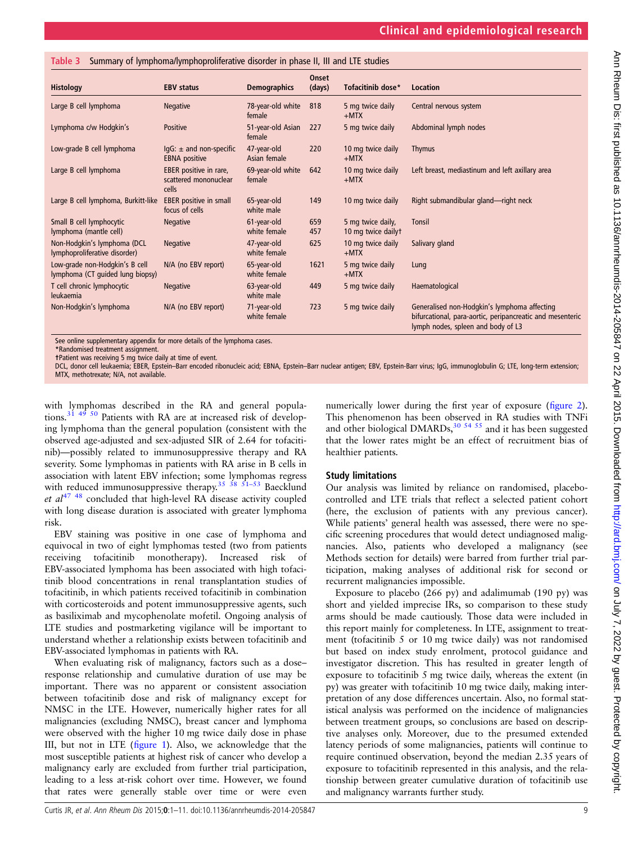| <b>Histology</b>                                                   | <b>EBV status</b>                                          | <b>Demographics</b>         | Onset<br>(days) | Tofacitinib dose*                       | Location                                                                                                                                        |
|--------------------------------------------------------------------|------------------------------------------------------------|-----------------------------|-----------------|-----------------------------------------|-------------------------------------------------------------------------------------------------------------------------------------------------|
| Large B cell lymphoma                                              | Negative                                                   | 78-year-old white<br>female | 818             | 5 mg twice daily<br>$+$ MTX             | Central nervous system                                                                                                                          |
| Lymphoma c/w Hodgkin's                                             | Positive                                                   | 51-year-old Asian<br>female | 227             | 5 mg twice daily                        | Abdominal lymph nodes                                                                                                                           |
| Low-grade B cell lymphoma                                          | $\text{lgG}: \pm$ and non-specific<br><b>EBNA</b> positive | 47-year-old<br>Asian female | 220             | 10 mg twice daily<br>$+$ MTX            | <b>Thymus</b>                                                                                                                                   |
| Large B cell lymphoma                                              | EBER positive in rare,<br>scattered mononuclear<br>cells   | 69-year-old white<br>female | 642             | 10 mg twice daily<br>$+$ MTX            | Left breast, mediastinum and left axillary area                                                                                                 |
| Large B cell lymphoma, Burkitt-like                                | <b>EBER</b> positive in small<br>focus of cells            | 65-year-old<br>white male   | 149             | 10 mg twice daily                       | Right submandibular gland-right neck                                                                                                            |
| Small B cell lymphocytic<br>lymphoma (mantle cell)                 | Negative                                                   | 61-year-old<br>white female | 659<br>457      | 5 mg twice daily,<br>10 mg twice dailyt | Tonsil                                                                                                                                          |
| Non-Hodgkin's lymphoma (DCL<br>lymphoproliferative disorder)       | Negative                                                   | 47-year-old<br>white female | 625             | 10 mg twice daily<br>$+$ MTX            | Salivary gland                                                                                                                                  |
| Low-grade non-Hodgkin's B cell<br>lymphoma (CT quided lung biopsy) | N/A (no EBV report)                                        | 65-year-old<br>white female | 1621            | 5 mg twice daily<br>$+$ MTX             | Lung                                                                                                                                            |
| T cell chronic lymphocytic<br>leukaemia                            | <b>Negative</b>                                            | 63-year-old<br>white male   | 449             | 5 mg twice daily                        | Haematological                                                                                                                                  |
| Non-Hodgkin's lymphoma                                             | N/A (no EBV report)                                        | 71-year-old<br>white female | 723             | 5 mg twice daily                        | Generalised non-Hodgkin's lymphoma affecting<br>bifurcational, para-aortic, peripancreatic and mesenteric<br>lymph nodes, spleen and body of L3 |

<span id="page-8-0"></span>Table 3 Summary of lymphoma/lymphoproliferative disorder in phase II, III and LTE studies

See online supplementary appendix for more details of the lymphoma cases.

\*Randomised treatment assignment.

†Patient was receiving 5 mg twice daily at time of event.

DCL, donor cell leukaemia; EBER, Epstein–Barr encoded ribonucleic acid; EBNA, Epstein–Barr nuclear antigen; EBV, Epstein-Barr virus; IgG, immunoglobulin G; LTE, long-term extension; MTX, methotrexate; N/A, not available.

with lymphomas described in the RA and general popula-tions.<sup>[31](#page-9-0) [49 50](#page-10-0)</sup> Patients with RA are at increased risk of developing lymphoma than the general population (consistent with the observed age-adjusted and sex-adjusted SIR of 2.64 for tofacitinib)—possibly related to immunosuppressive therapy and RA severity. Some lymphomas in patients with RA arise in B cells in association with latent EBV infection; some lymphomas regress with reduced immunosuppressive therapy.<sup>35</sup> <sup>38</sup>  $\frac{51-53}{1}$  Baecklund et  $al^{47}$ <sup>48</sup> concluded that high-level RA disease activity coupled with long disease duration is associated with greater lymphoma risk.

EBV staining was positive in one case of lymphoma and equivocal in two of eight lymphomas tested (two from patients receiving tofacitinib monotherapy). Increased risk of EBV-associated lymphoma has been associated with high tofacitinib blood concentrations in renal transplantation studies of tofacitinib, in which patients received tofacitinib in combination with corticosteroids and potent immunosuppressive agents, such as basiliximab and mycophenolate mofetil. Ongoing analysis of LTE studies and postmarketing vigilance will be important to understand whether a relationship exists between tofacitinib and EBV-associated lymphomas in patients with RA.

When evaluating risk of malignancy, factors such as a dose– response relationship and cumulative duration of use may be important. There was no apparent or consistent association between tofacitinib dose and risk of malignancy except for NMSC in the LTE. However, numerically higher rates for all malignancies (excluding NMSC), breast cancer and lymphoma were observed with the higher 10 mg twice daily dose in phase III, but not in LTE (fi[gure 1\)](#page-1-0). Also, we acknowledge that the most susceptible patients at highest risk of cancer who develop a malignancy early are excluded from further trial participation, leading to a less at-risk cohort over time. However, we found that rates were generally stable over time or were even

numerically lower during the first year of exposure (fi[gure 2\)](#page-5-0). This phenomenon has been observed in RA studies with TNFi and other biological DMARDs, $30\,54\,55$  and it has been suggested that the lower rates might be an effect of recruitment bias of healthier patients.

# Study limitations

Our analysis was limited by reliance on randomised, placebocontrolled and LTE trials that reflect a selected patient cohort (here, the exclusion of patients with any previous cancer). While patients' general health was assessed, there were no specific screening procedures that would detect undiagnosed malignancies. Also, patients who developed a malignancy (see Methods section for details) were barred from further trial participation, making analyses of additional risk for second or recurrent malignancies impossible.

Exposure to placebo (266 py) and adalimumab (190 py) was short and yielded imprecise IRs, so comparison to these study arms should be made cautiously. Those data were included in this report mainly for completeness. In LTE, assignment to treatment (tofacitinib 5 or 10 mg twice daily) was not randomised but based on index study enrolment, protocol guidance and investigator discretion. This has resulted in greater length of exposure to tofacitinib 5 mg twice daily, whereas the extent (in py) was greater with tofacitinib 10 mg twice daily, making interpretation of any dose differences uncertain. Also, no formal statistical analysis was performed on the incidence of malignancies between treatment groups, so conclusions are based on descriptive analyses only. Moreover, due to the presumed extended latency periods of some malignancies, patients will continue to require continued observation, beyond the median 2.35 years of exposure to tofacitinib represented in this analysis, and the relationship between greater cumulative duration of tofacitinib use and malignancy warrants further study.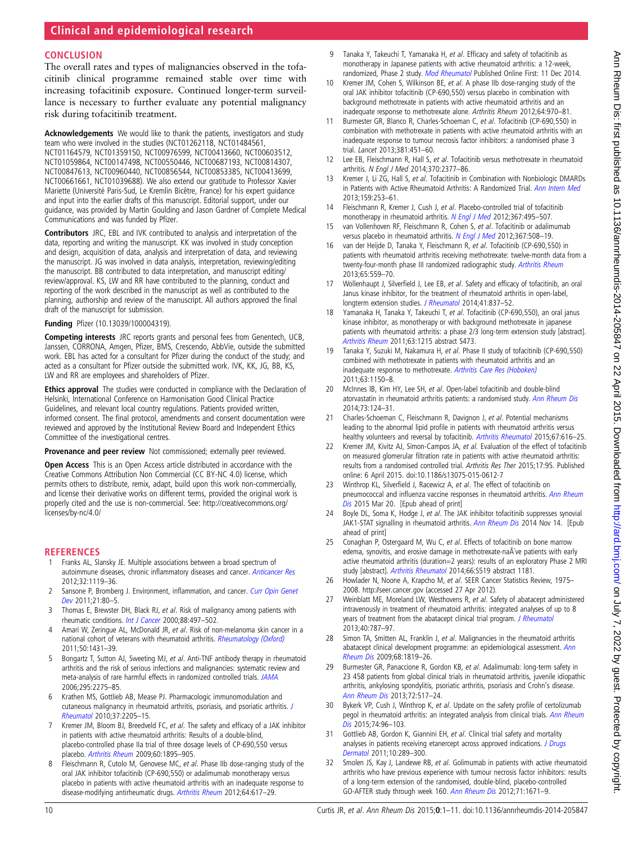# <span id="page-9-0"></span>**CONCLUSION**

The overall rates and types of malignancies observed in the tofacitinib clinical programme remained stable over time with increasing tofacitinib exposure. Continued longer-term surveillance is necessary to further evaluate any potential malignancy risk during tofacitinib treatment.

Acknowledgements We would like to thank the patients, investigators and study team who were involved in the studies (NCT01262118, NCT01484561, NCT01164579, NCT01359150, NCT00976599, NCT00413660, NCT00603512, NCT01059864, NCT00147498, NCT00550446, NCT00687193, NCT00814307, NCT00847613, NCT00960440, NCT00856544, NCT00853385, NCT00413699, NCT00661661, NCT01039688). We also extend our gratitude to Professor Xavier Mariette (Université Paris-Sud, Le Kremlin Bicêtre, France) for his expert guidance and input into the earlier drafts of this manuscript. Editorial support, under our guidance, was provided by Martin Goulding and Jason Gardner of Complete Medical Communications and was funded by Pfizer.

Contributors JRC, EBL and IVK contributed to analysis and interpretation of the data, reporting and writing the manuscript. KK was involved in study conception and design, acquisition of data, analysis and interpretation of data, and reviewing the manuscript. JG was involved in data analysis, interpretation, reviewing/editing the manuscript. BB contributed to data interpretation, and manuscript editing/ review/approval. KS, LW and RR have contributed to the planning, conduct and reporting of the work described in the manuscript as well as contributed to the planning, authorship and review of the manuscript. All authors approved the final draft of the manuscript for submission.

#### Funding Pfizer (10.13039/100004319).

Competing interests JRC reports grants and personal fees from Genentech, UCB, Janssen, CORRONA, Amgen, Pfizer, BMS, Crescendo, AbbVie, outside the submitted work. EBL has acted for a consultant for Pfizer during the conduct of the study; and acted as a consultant for Pfizer outside the submitted work. IVK, KK, JG, BB, KS, LW and RR are employees and shareholders of Pfizer.

Ethics approval The studies were conducted in compliance with the Declaration of Helsinki, International Conference on Harmonisation Good Clinical Practice Guidelines, and relevant local country regulations. Patients provided written, informed consent. The final protocol, amendments and consent documentation were reviewed and approved by the Institutional Review Board and Independent Ethics Committee of the investigational centres.

#### Provenance and peer review Not commissioned; externally peer reviewed.

Open Access This is an Open Access article distributed in accordance with the Creative Commons Attribution Non Commercial (CC BY-NC 4.0) license, which permits others to distribute, remix, adapt, build upon this work non-commercially, and license their derivative works on different terms, provided the original work is properly cited and the use is non-commercial. See: [http://creativecommons.org/](http://creativecommons.org/licenses/by-nc/4.0/) [licenses/by-nc/4.0/](http://creativecommons.org/licenses/by-nc/4.0/)

#### **REFERENCES**

- Franks AL, Slansky JE. Multiple associations between a broad spectrum of autoimmune diseases, chronic inflammatory diseases and cancer. [Anticancer Res](http://ar.iiarjournals.org/content/32/4/1119.long) 2012;32:1119–36.
- 2 Sansone P, Bromberg J. Environment, inflammation, and cancer. [Curr Opin Genet](http://dx.doi.org/10.1016/j.gde.2010.11.001) [Dev](http://dx.doi.org/10.1016/j.gde.2010.11.001) 2011;21:80–5.
- 3 Thomas E, Brewster DH, Black RJ, et al. Risk of malignancy among patients with rheumatic conditions. [Int J Cancer](http://dx.doi.org/10.1002/1097-0215(20001101)88:3<497::AID-IJC27>3.0.CO;2-J) 2000;88:497-502.
- 4 Amari W, Zeringue AL, McDonald JR, et al. Risk of non-melanoma skin cancer in a national cohort of veterans with rheumatoid arthritis. [Rheumatology \(Oxford\)](http://dx.doi.org/10.1093/rheumatology/ker113) 2011;50:1431–39.
- 5 Bongartz T, Sutton AJ, Sweeting MJ, et al. Anti-TNF antibody therapy in rheumatoid arthritis and the risk of serious infections and malignancies: systematic review and meta-analysis of rare harmful effects in randomized controlled trials. [JAMA](http://jama.jamanetwork.com/article.aspx?articleid=202873) 2006;295:2275–85.
- 6 Krathen MS, Gottlieb AB, Mease PJ. Pharmacologic immunomodulation and cutaneous malignancy in rheumatoid arthritis, psoriasis, and psoriatic arthritis. [J](http://dx.doi.org/10.3899/jrheum.100041) [Rheumatol](http://dx.doi.org/10.3899/jrheum.100041) 2010;37:2205–15.
- Kremer JM, Bloom BJ, Breedveld FC, et al. The safety and efficacy of a JAK inhibitor in patients with active rheumatoid arthritis: Results of a double-blind, placebo-controlled phase IIa trial of three dosage levels of CP-690,550 versus placebo. [Arthritis Rheum](http://dx.doi.org/10.1002/art.24567) 2009;60:1895–905.
- 8 Fleischmann R, Cutolo M, Genovese MC, et al. Phase IIb dose-ranging study of the oral JAK inhibitor tofacitinib (CP-690,550) or adalimumab monotherapy versus placebo in patients with active rheumatoid arthritis with an inadequate response to disease-modifying antirheumatic drugs. [Arthritis Rheum](http://dx.doi.org/10.1002/art.33383) 2012;64:617–29.
- 9 Tanaka Y, Takeuchi T, Yamanaka H, et al. Efficacy and safety of tofacitinib as monotherapy in Japanese patients with active rheumatoid arthritis: a 12-week, randomized, Phase 2 study. [Mod Rheumatol](http://dx.doi.org/10.3109/14397595.2014.995875) Published Online First: 11 Dec 2014.
- 10 Kremer JM, Cohen S, Wilkinson BE, et al. A phase IIb dose-ranging study of the oral JAK inhibitor tofacitinib (CP-690,550) versus placebo in combination with background methotrexate in patients with active rheumatoid arthritis and an inadequate response to methotrexate alone. Arthritis Rheum 2012;64:970–81.
- 11 Burmester GR, Blanco R, Charles-Schoeman C, et al. Tofacitinib (CP-690,550) in combination with methotrexate in patients with active rheumatoid arthritis with an inadequate response to tumour necrosis factor inhibitors: a randomised phase 3 trial. Lancet 2013;381:451–60.
- 12 Lee EB, Fleischmann R, Hall S, et al. Tofacitinib versus methotrexate in rheumatoid arthritis. N Engl J Med 2014;370:2377–86.
- 13 Kremer J, Li ZG, Hall S, et al. Tofacitinib in Combination with Nonbiologic DMARDs in Patients with Active Rheumatoid Arthritis: A Randomized Trial. [Ann Intern Med](http://dx.doi.org/10.7326/0003-4819-159-4-201308200-00006) 2013;159:253–61.
- 14 Fleischmann R, Kremer J, Cush J, et al. Placebo-controlled trial of tofacitinib monotherapy in rheumatoid arthritis. [N Engl J Med](http://dx.doi.org/10.1056/NEJMoa1109071) 2012;367:495-507.
- 15 van Vollenhoven RF, Fleischmann R, Cohen S, et al. Tofacitinib or adalimumab versus placebo in rheumatoid arthritis. [N Engl J Med](http://dx.doi.org/10.1056/NEJMoa1112072) 2012;367:508-19.
- 16 van der Heijde D, Tanaka Y, Fleischmann R, et al. Tofacitinib (CP-690,550) in patients with rheumatoid arthritis receiving methotrexate: twelve-month data from a twenty-four-month phase III randomized radiographic study. [Arthritis Rheum](http://dx.doi.org/10.1002/art.37816) 2013;65:559–70.
- 17 Wollenhaupt J, Silverfield J, Lee EB, et al. Safety and efficacy of tofacitinib, an oral Janus kinase inhibitor, for the treatment of rheumatoid arthritis in open-label, longterm extension studies. [J Rheumatol](http://dx.doi.org/10.3899/jrheum.130683) 2014;41:837-52.
- 18 Yamanaka H, Tanaka Y, Takeuchi T, et al. Tofacitinib (CP-690,550), an oral janus kinase inhibitor, as monotherapy or with background methotrexate in japanese patients with rheumatoid arthritis: a phase 2/3 long-term extension study [abstract]. [Arthritis Rheum](http://www.blackwellpublishing.com/acrmeeting/abstract.asp?MeetingID=781&id=95955&meeting=ART201163) 2011;63:1215 abstract S473.
- 19 Tanaka Y, Suzuki M, Nakamura H, et al. Phase II study of tofacitinib (CP-690,550) combined with methotrexate in patients with rheumatoid arthritis and an inadequate response to methotrexate. [Arthritis Care Res \(Hoboken\)](http://dx.doi.org/10.1002/acr.20494) 2011;63:1150–8.
- 20 McInnes IB, Kim HY, Lee SH, et al. Open-label tofacitinib and double-blind atorvastatin in rheumatoid arthritis patients: a randomised study. [Ann Rheum Dis](http://dx.doi.org/10.1136/annrheumdis-2012-202442) 2014;73:124–31.
- 21 Charles-Schoeman C, Fleischmann R, Davignon J, et al. Potential mechanisms leading to the abnormal lipid profile in patients with rheumatoid arthritis versus healthy volunteers and reversal by tofacitinib. [Arthritis Rheumatol](http://dx.doi.org/10.1002/art.38974) 2015;67:616-25.
- 22 Kremer JM, Kivitz AJ, Simon-Campos JA, et al. Evaluation of the effect of tofacitinib on measured glomerular filtration rate in patients with active rheumatoid arthritis: results from a randomised controlled trial. Arthritis Res Ther 2015;17:95. Published online: 6 April 2015. doi:10.1186/s13075-015-0612-7
- 23 Winthrop KL, Silverfield J, Racewicz A, et al. The effect of tofacitinib on pneumococcal and influenza vaccine responses in rheumatoid arthritis. [Ann Rheum](http://dx.doi.org/10.1136/annrheumdis-2014-207191) [Dis](http://dx.doi.org/10.1136/annrheumdis-2014-207191) 2015 Mar 20. [Epub ahead of print]
- 24 Boyle DL, Soma K, Hodge J, et al. The JAK inhibitor tofacitinib suppresses synovial JAK1-STAT signalling in rheumatoid arthritis. [Ann Rheum Dis](http://dx.doi.org/10.1136/annrheumdis-2014-206028) 2014 Nov 14. [Epub ahead of print]
- 25 Conaghan P, Ostergaard M, Wu C, et al. Effects of tofacitinib on bone marrow edema, synovitis, and erosive damage in methotrexate-na $\tilde{A}$ ve patients with early active rheumatoid arthritis (duration=2 years): results of an exploratory Phase 2 MRI study [abstract]. [Arthritis Rheumatol](http://dx.doi.org/10.1002/art.38914) 2014;66:S519 abstract 1181.
- 26 Howlader N, Noone A, Krapcho M, et al. SEER Cancer Statistics Review, 1975-2008.<http://seer.cancer.gov> (accessed 27 Apr 2012).
- 27 Weinblatt ME, Moreland LW, Westhovens R, et al. Safety of abatacept administered intravenously in treatment of rheumatoid arthritis: integrated analyses of up to 8 years of treatment from the abatacept clinical trial program. [J Rheumatol](http://dx.doi.org/10.3899/jrheum.120906) 2013;40:787–97.
- 28 Simon TA, Smitten AL, Franklin J, et al. Malignancies in the rheumatoid arthritis abatacept clinical development programme: an epidemiological assessment. [Ann](http://dx.doi.org/10.1136/ard.2008.097527) [Rheum Dis](http://dx.doi.org/10.1136/ard.2008.097527) 2009;68:1819–26.
- 29 Burmester GR, Panaccione R, Gordon KB, et al. Adalimumab: long-term safety in 23 458 patients from global clinical trials in rheumatoid arthritis, juvenile idiopathic arthritis, ankylosing spondylitis, psoriatic arthritis, psoriasis and Crohn's disease. [Ann Rheum Dis](http://dx.doi.org/10.1136/annrheumdis-2011-201244) 2013;72:517–24.
- 30 Bykerk VP, Cush J, Winthrop K, et al. Update on the safety profile of certolizumab pegol in rheumatoid arthritis: an integrated analysis from clinical trials. [Ann Rheum](http://dx.doi.org/10.1136/annrheumdis-2013-203660) [Dis](http://dx.doi.org/10.1136/annrheumdis-2013-203660) 2015;74:96-103.
- 31 Gottlieb AB, Gordon K, Giannini EH, et al. Clinical trial safety and mortality analyses in patients receiving etanercept across approved indications. [J Drugs](http://jddonline.com/articles/dermatology/S1545961611P0289X/1) [Dermatol](http://jddonline.com/articles/dermatology/S1545961611P0289X/1) 2011;10:289–300.
- 32 Smolen JS, Kay J, Landewe RB, et al. Golimumab in patients with active rheumatoid arthritis who have previous experience with tumour necrosis factor inhibitors: results of a long-term extension of the randomised, double-blind, placebo-controlled GO-AFTER study through week 160. [Ann Rheum Dis](http://dx.doi.org/10.1136/annrheumdis-2011-200956) 2012;71:1671–9.